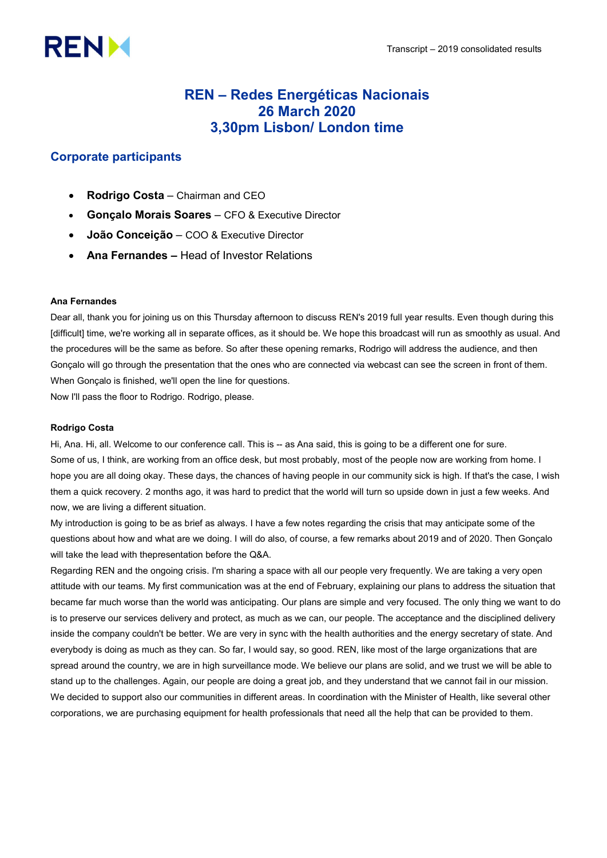# **RENM**

# REN – Redes Energéticas Nacionais 26 March 2020 3,30pm Lisbon/ London time

# Corporate participants

- Rodrigo Costa Chairman and CEO
- Gonçalo Morais Soares CFO & Executive Director
- João Conceição COO & Executive Director
- Ana Fernandes Head of Investor Relations

# Ana Fernandes

Dear all, thank you for joining us on this Thursday afternoon to discuss REN's 2019 full year results. Even though during this [difficult] time, we're working all in separate offices, as it should be. We hope this broadcast will run as smoothly as usual. And the procedures will be the same as before. So after these opening remarks, Rodrigo will address the audience, and then Gonçalo will go through the presentation that the ones who are connected via webcast can see the screen in front of them. When Gonçalo is finished, we'll open the line for questions.

Now I'll pass the floor to Rodrigo. Rodrigo, please.

# Rodrigo Costa

Hi, Ana. Hi, all. Welcome to our conference call. This is -- as Ana said, this is going to be a different one for sure. Some of us, I think, are working from an office desk, but most probably, most of the people now are working from home. I hope you are all doing okay. These days, the chances of having people in our community sick is high. If that's the case, I wish them a quick recovery. 2 months ago, it was hard to predict that the world will turn so upside down in just a few weeks. And now, we are living a different situation.

My introduction is going to be as brief as always. I have a few notes regarding the crisis that may anticipate some of the questions about how and what are we doing. I will do also, of course, a few remarks about 2019 and of 2020. Then Gonçalo will take the lead with thepresentation before the Q&A.

Regarding REN and the ongoing crisis. I'm sharing a space with all our people very frequently. We are taking a very open attitude with our teams. My first communication was at the end of February, explaining our plans to address the situation that became far much worse than the world was anticipating. Our plans are simple and very focused. The only thing we want to do is to preserve our services delivery and protect, as much as we can, our people. The acceptance and the disciplined delivery inside the company couldn't be better. We are very in sync with the health authorities and the energy secretary of state. And everybody is doing as much as they can. So far, I would say, so good. REN, like most of the large organizations that are spread around the country, we are in high surveillance mode. We believe our plans are solid, and we trust we will be able to stand up to the challenges. Again, our people are doing a great job, and they understand that we cannot fail in our mission. We decided to support also our communities in different areas. In coordination with the Minister of Health, like several other corporations, we are purchasing equipment for health professionals that need all the help that can be provided to them.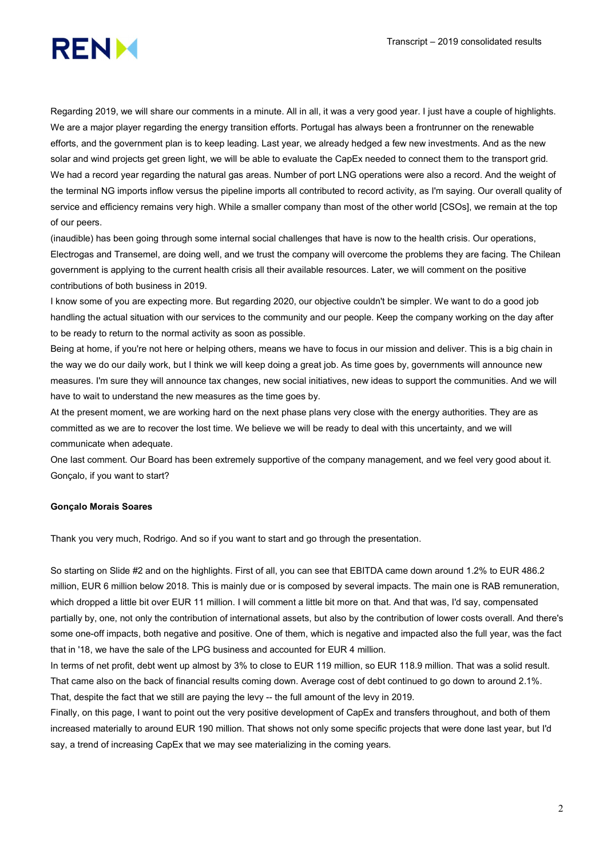

Regarding 2019, we will share our comments in a minute. All in all, it was a very good year. I just have a couple of highlights. We are a major player regarding the energy transition efforts. Portugal has always been a frontrunner on the renewable efforts, and the government plan is to keep leading. Last year, we already hedged a few new investments. And as the new solar and wind projects get green light, we will be able to evaluate the CapEx needed to connect them to the transport grid. We had a record year regarding the natural gas areas. Number of port LNG operations were also a record. And the weight of the terminal NG imports inflow versus the pipeline imports all contributed to record activity, as I'm saying. Our overall quality of service and efficiency remains very high. While a smaller company than most of the other world [CSOs], we remain at the top of our peers.

(inaudible) has been going through some internal social challenges that have is now to the health crisis. Our operations, Electrogas and Transemel, are doing well, and we trust the company will overcome the problems they are facing. The Chilean government is applying to the current health crisis all their available resources. Later, we will comment on the positive contributions of both business in 2019.

I know some of you are expecting more. But regarding 2020, our objective couldn't be simpler. We want to do a good job handling the actual situation with our services to the community and our people. Keep the company working on the day after to be ready to return to the normal activity as soon as possible.

Being at home, if you're not here or helping others, means we have to focus in our mission and deliver. This is a big chain in the way we do our daily work, but I think we will keep doing a great job. As time goes by, governments will announce new measures. I'm sure they will announce tax changes, new social initiatives, new ideas to support the communities. And we will have to wait to understand the new measures as the time goes by.

At the present moment, we are working hard on the next phase plans very close with the energy authorities. They are as committed as we are to recover the lost time. We believe we will be ready to deal with this uncertainty, and we will communicate when adequate.

One last comment. Our Board has been extremely supportive of the company management, and we feel very good about it. Gonçalo, if you want to start?

### Gonçalo Morais Soares

Thank you very much, Rodrigo. And so if you want to start and go through the presentation.

So starting on Slide #2 and on the highlights. First of all, you can see that EBITDA came down around 1.2% to EUR 486.2 million, EUR 6 million below 2018. This is mainly due or is composed by several impacts. The main one is RAB remuneration, which dropped a little bit over EUR 11 million. I will comment a little bit more on that. And that was, I'd say, compensated partially by, one, not only the contribution of international assets, but also by the contribution of lower costs overall. And there's some one-off impacts, both negative and positive. One of them, which is negative and impacted also the full year, was the fact that in '18, we have the sale of the LPG business and accounted for EUR 4 million.

In terms of net profit, debt went up almost by 3% to close to EUR 119 million, so EUR 118.9 million. That was a solid result. That came also on the back of financial results coming down. Average cost of debt continued to go down to around 2.1%. That, despite the fact that we still are paying the levy -- the full amount of the levy in 2019.

Finally, on this page, I want to point out the very positive development of CapEx and transfers throughout, and both of them increased materially to around EUR 190 million. That shows not only some specific projects that were done last year, but I'd say, a trend of increasing CapEx that we may see materializing in the coming years.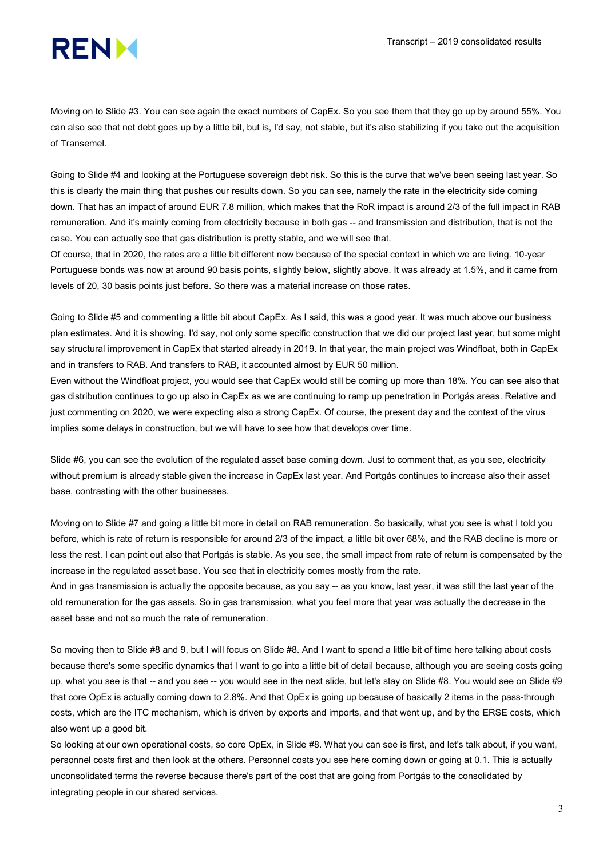# **RENM**

Moving on to Slide #3. You can see again the exact numbers of CapEx. So you see them that they go up by around 55%. You can also see that net debt goes up by a little bit, but is, I'd say, not stable, but it's also stabilizing if you take out the acquisition of Transemel.

Going to Slide #4 and looking at the Portuguese sovereign debt risk. So this is the curve that we've been seeing last year. So this is clearly the main thing that pushes our results down. So you can see, namely the rate in the electricity side coming down. That has an impact of around EUR 7.8 million, which makes that the RoR impact is around 2/3 of the full impact in RAB remuneration. And it's mainly coming from electricity because in both gas -- and transmission and distribution, that is not the case. You can actually see that gas distribution is pretty stable, and we will see that.

Of course, that in 2020, the rates are a little bit different now because of the special context in which we are living. 10-year Portuguese bonds was now at around 90 basis points, slightly below, slightly above. It was already at 1.5%, and it came from levels of 20, 30 basis points just before. So there was a material increase on those rates.

Going to Slide #5 and commenting a little bit about CapEx. As I said, this was a good year. It was much above our business plan estimates. And it is showing, I'd say, not only some specific construction that we did our project last year, but some might say structural improvement in CapEx that started already in 2019. In that year, the main project was Windfloat, both in CapEx and in transfers to RAB. And transfers to RAB, it accounted almost by EUR 50 million.

Even without the Windfloat project, you would see that CapEx would still be coming up more than 18%. You can see also that gas distribution continues to go up also in CapEx as we are continuing to ramp up penetration in Portgás areas. Relative and just commenting on 2020, we were expecting also a strong CapEx. Of course, the present day and the context of the virus implies some delays in construction, but we will have to see how that develops over time.

Slide #6, you can see the evolution of the regulated asset base coming down. Just to comment that, as you see, electricity without premium is already stable given the increase in CapEx last year. And Portgás continues to increase also their asset base, contrasting with the other businesses.

Moving on to Slide #7 and going a little bit more in detail on RAB remuneration. So basically, what you see is what I told you before, which is rate of return is responsible for around 2/3 of the impact, a little bit over 68%, and the RAB decline is more or less the rest. I can point out also that Portgás is stable. As you see, the small impact from rate of return is compensated by the increase in the regulated asset base. You see that in electricity comes mostly from the rate.

And in gas transmission is actually the opposite because, as you say -- as you know, last year, it was still the last year of the old remuneration for the gas assets. So in gas transmission, what you feel more that year was actually the decrease in the asset base and not so much the rate of remuneration.

So moving then to Slide #8 and 9, but I will focus on Slide #8. And I want to spend a little bit of time here talking about costs because there's some specific dynamics that I want to go into a little bit of detail because, although you are seeing costs going up, what you see is that -- and you see -- you would see in the next slide, but let's stay on Slide #8. You would see on Slide #9 that core OpEx is actually coming down to 2.8%. And that OpEx is going up because of basically 2 items in the pass-through costs, which are the ITC mechanism, which is driven by exports and imports, and that went up, and by the ERSE costs, which also went up a good bit.

So looking at our own operational costs, so core OpEx, in Slide #8. What you can see is first, and let's talk about, if you want, personnel costs first and then look at the others. Personnel costs you see here coming down or going at 0.1. This is actually unconsolidated terms the reverse because there's part of the cost that are going from Portgás to the consolidated by integrating people in our shared services.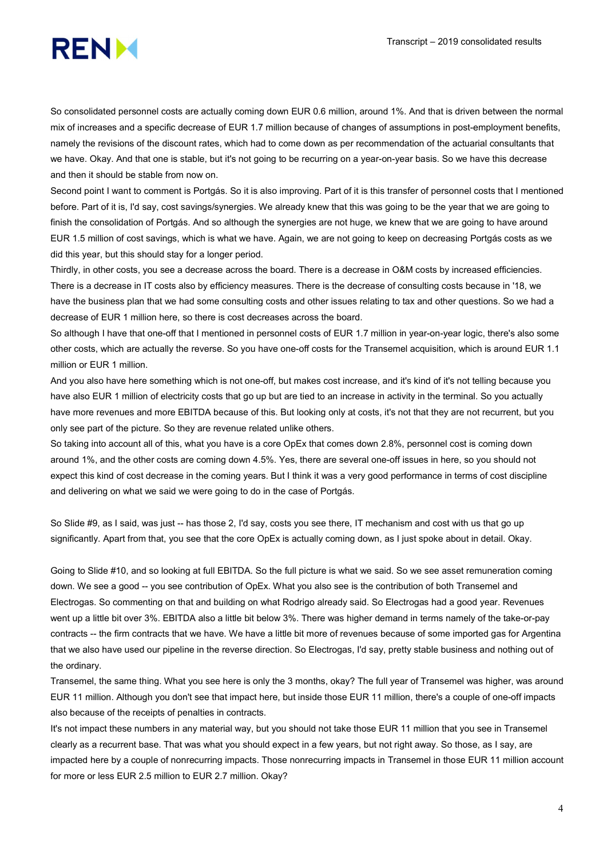

So consolidated personnel costs are actually coming down EUR 0.6 million, around 1%. And that is driven between the normal mix of increases and a specific decrease of EUR 1.7 million because of changes of assumptions in post-employment benefits, namely the revisions of the discount rates, which had to come down as per recommendation of the actuarial consultants that we have. Okay. And that one is stable, but it's not going to be recurring on a year-on-year basis. So we have this decrease and then it should be stable from now on.

Second point I want to comment is Portgás. So it is also improving. Part of it is this transfer of personnel costs that I mentioned before. Part of it is, I'd say, cost savings/synergies. We already knew that this was going to be the year that we are going to finish the consolidation of Portgás. And so although the synergies are not huge, we knew that we are going to have around EUR 1.5 million of cost savings, which is what we have. Again, we are not going to keep on decreasing Portgás costs as we did this year, but this should stay for a longer period.

Thirdly, in other costs, you see a decrease across the board. There is a decrease in O&M costs by increased efficiencies. There is a decrease in IT costs also by efficiency measures. There is the decrease of consulting costs because in '18, we have the business plan that we had some consulting costs and other issues relating to tax and other questions. So we had a decrease of EUR 1 million here, so there is cost decreases across the board.

So although I have that one-off that I mentioned in personnel costs of EUR 1.7 million in year-on-year logic, there's also some other costs, which are actually the reverse. So you have one-off costs for the Transemel acquisition, which is around EUR 1.1 million or EUR 1 million.

And you also have here something which is not one-off, but makes cost increase, and it's kind of it's not telling because you have also EUR 1 million of electricity costs that go up but are tied to an increase in activity in the terminal. So you actually have more revenues and more EBITDA because of this. But looking only at costs, it's not that they are not recurrent, but you only see part of the picture. So they are revenue related unlike others.

So taking into account all of this, what you have is a core OpEx that comes down 2.8%, personnel cost is coming down around 1%, and the other costs are coming down 4.5%. Yes, there are several one-off issues in here, so you should not expect this kind of cost decrease in the coming years. But I think it was a very good performance in terms of cost discipline and delivering on what we said we were going to do in the case of Portgás.

So Slide #9, as I said, was just -- has those 2, I'd say, costs you see there, IT mechanism and cost with us that go up significantly. Apart from that, you see that the core OpEx is actually coming down, as I just spoke about in detail. Okay.

Going to Slide #10, and so looking at full EBITDA. So the full picture is what we said. So we see asset remuneration coming down. We see a good -- you see contribution of OpEx. What you also see is the contribution of both Transemel and Electrogas. So commenting on that and building on what Rodrigo already said. So Electrogas had a good year. Revenues went up a little bit over 3%. EBITDA also a little bit below 3%. There was higher demand in terms namely of the take-or-pay contracts -- the firm contracts that we have. We have a little bit more of revenues because of some imported gas for Argentina that we also have used our pipeline in the reverse direction. So Electrogas, I'd say, pretty stable business and nothing out of the ordinary.

Transemel, the same thing. What you see here is only the 3 months, okay? The full year of Transemel was higher, was around EUR 11 million. Although you don't see that impact here, but inside those EUR 11 million, there's a couple of one-off impacts also because of the receipts of penalties in contracts.

It's not impact these numbers in any material way, but you should not take those EUR 11 million that you see in Transemel clearly as a recurrent base. That was what you should expect in a few years, but not right away. So those, as I say, are impacted here by a couple of nonrecurring impacts. Those nonrecurring impacts in Transemel in those EUR 11 million account for more or less EUR 2.5 million to EUR 2.7 million. Okay?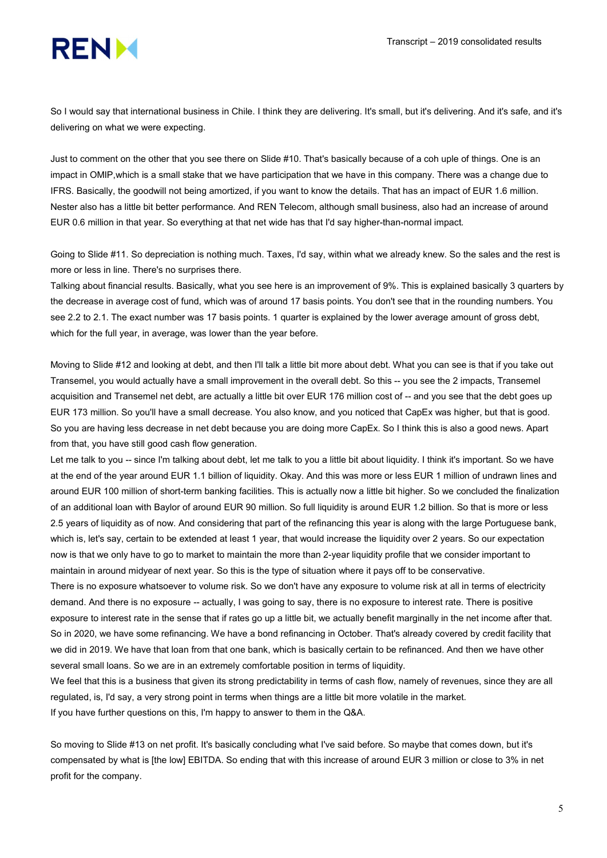# **RENM**

So I would say that international business in Chile. I think they are delivering. It's small, but it's delivering. And it's safe, and it's delivering on what we were expecting.

Just to comment on the other that you see there on Slide #10. That's basically because of a coh uple of things. One is an impact in OMIP,which is a small stake that we have participation that we have in this company. There was a change due to IFRS. Basically, the goodwill not being amortized, if you want to know the details. That has an impact of EUR 1.6 million. Nester also has a little bit better performance. And REN Telecom, although small business, also had an increase of around EUR 0.6 million in that year. So everything at that net wide has that I'd say higher-than-normal impact.

Going to Slide #11. So depreciation is nothing much. Taxes, I'd say, within what we already knew. So the sales and the rest is more or less in line. There's no surprises there.

Talking about financial results. Basically, what you see here is an improvement of 9%. This is explained basically 3 quarters by the decrease in average cost of fund, which was of around 17 basis points. You don't see that in the rounding numbers. You see 2.2 to 2.1. The exact number was 17 basis points. 1 quarter is explained by the lower average amount of gross debt, which for the full year, in average, was lower than the year before.

Moving to Slide #12 and looking at debt, and then I'll talk a little bit more about debt. What you can see is that if you take out Transemel, you would actually have a small improvement in the overall debt. So this -- you see the 2 impacts, Transemel acquisition and Transemel net debt, are actually a little bit over EUR 176 million cost of -- and you see that the debt goes up EUR 173 million. So you'll have a small decrease. You also know, and you noticed that CapEx was higher, but that is good. So you are having less decrease in net debt because you are doing more CapEx. So I think this is also a good news. Apart from that, you have still good cash flow generation.

Let me talk to you -- since I'm talking about debt, let me talk to you a little bit about liquidity. I think it's important. So we have at the end of the year around EUR 1.1 billion of liquidity. Okay. And this was more or less EUR 1 million of undrawn lines and around EUR 100 million of short-term banking facilities. This is actually now a little bit higher. So we concluded the finalization of an additional loan with Baylor of around EUR 90 million. So full liquidity is around EUR 1.2 billion. So that is more or less 2.5 years of liquidity as of now. And considering that part of the refinancing this year is along with the large Portuguese bank, which is, let's say, certain to be extended at least 1 year, that would increase the liquidity over 2 years. So our expectation now is that we only have to go to market to maintain the more than 2-year liquidity profile that we consider important to maintain in around midyear of next year. So this is the type of situation where it pays off to be conservative.

There is no exposure whatsoever to volume risk. So we don't have any exposure to volume risk at all in terms of electricity demand. And there is no exposure -- actually, I was going to say, there is no exposure to interest rate. There is positive exposure to interest rate in the sense that if rates go up a little bit, we actually benefit marginally in the net income after that. So in 2020, we have some refinancing. We have a bond refinancing in October. That's already covered by credit facility that we did in 2019. We have that loan from that one bank, which is basically certain to be refinanced. And then we have other several small loans. So we are in an extremely comfortable position in terms of liquidity.

We feel that this is a business that given its strong predictability in terms of cash flow, namely of revenues, since they are all regulated, is, I'd say, a very strong point in terms when things are a little bit more volatile in the market. If you have further questions on this, I'm happy to answer to them in the Q&A.

So moving to Slide #13 on net profit. It's basically concluding what I've said before. So maybe that comes down, but it's compensated by what is [the low] EBITDA. So ending that with this increase of around EUR 3 million or close to 3% in net profit for the company.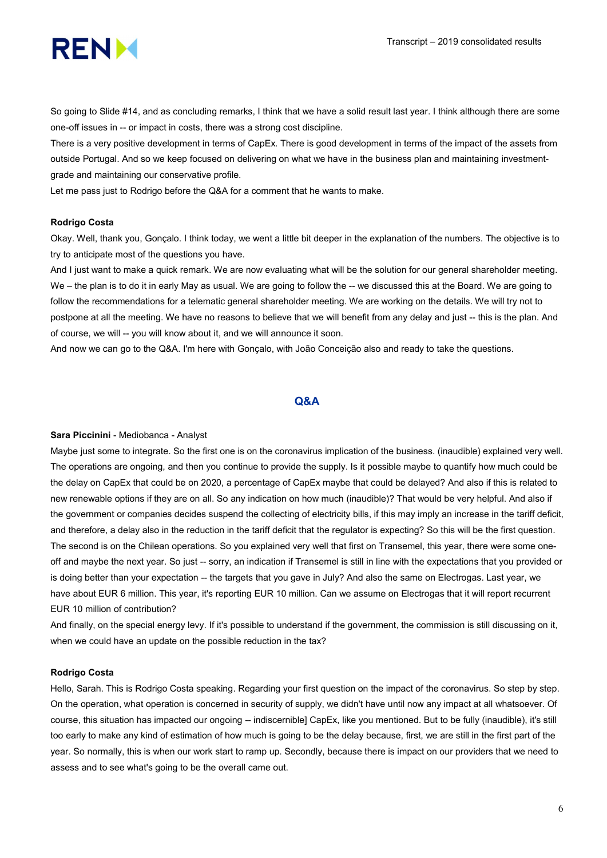

So going to Slide #14, and as concluding remarks, I think that we have a solid result last year. I think although there are some one-off issues in -- or impact in costs, there was a strong cost discipline.

There is a very positive development in terms of CapEx. There is good development in terms of the impact of the assets from outside Portugal. And so we keep focused on delivering on what we have in the business plan and maintaining investmentgrade and maintaining our conservative profile.

Let me pass just to Rodrigo before the Q&A for a comment that he wants to make.

#### Rodrigo Costa

Okay. Well, thank you, Gonçalo. I think today, we went a little bit deeper in the explanation of the numbers. The objective is to try to anticipate most of the questions you have.

And I just want to make a quick remark. We are now evaluating what will be the solution for our general shareholder meeting. We – the plan is to do it in early May as usual. We are going to follow the -- we discussed this at the Board. We are going to follow the recommendations for a telematic general shareholder meeting. We are working on the details. We will try not to postpone at all the meeting. We have no reasons to believe that we will benefit from any delay and just -- this is the plan. And of course, we will -- you will know about it, and we will announce it soon.

And now we can go to the Q&A. I'm here with Gonçalo, with João Conceição also and ready to take the questions.

# Q&A

#### Sara Piccinini - Mediobanca - Analyst

Maybe just some to integrate. So the first one is on the coronavirus implication of the business. (inaudible) explained very well. The operations are ongoing, and then you continue to provide the supply. Is it possible maybe to quantify how much could be the delay on CapEx that could be on 2020, a percentage of CapEx maybe that could be delayed? And also if this is related to new renewable options if they are on all. So any indication on how much (inaudible)? That would be very helpful. And also if the government or companies decides suspend the collecting of electricity bills, if this may imply an increase in the tariff deficit, and therefore, a delay also in the reduction in the tariff deficit that the regulator is expecting? So this will be the first question. The second is on the Chilean operations. So you explained very well that first on Transemel, this year, there were some oneoff and maybe the next year. So just -- sorry, an indication if Transemel is still in line with the expectations that you provided or is doing better than your expectation -- the targets that you gave in July? And also the same on Electrogas. Last year, we have about EUR 6 million. This year, it's reporting EUR 10 million. Can we assume on Electrogas that it will report recurrent EUR 10 million of contribution?

And finally, on the special energy levy. If it's possible to understand if the government, the commission is still discussing on it, when we could have an update on the possible reduction in the tax?

#### Rodrigo Costa

Hello, Sarah. This is Rodrigo Costa speaking. Regarding your first question on the impact of the coronavirus. So step by step. On the operation, what operation is concerned in security of supply, we didn't have until now any impact at all whatsoever. Of course, this situation has impacted our ongoing -- indiscernible] CapEx, like you mentioned. But to be fully (inaudible), it's still too early to make any kind of estimation of how much is going to be the delay because, first, we are still in the first part of the year. So normally, this is when our work start to ramp up. Secondly, because there is impact on our providers that we need to assess and to see what's going to be the overall came out.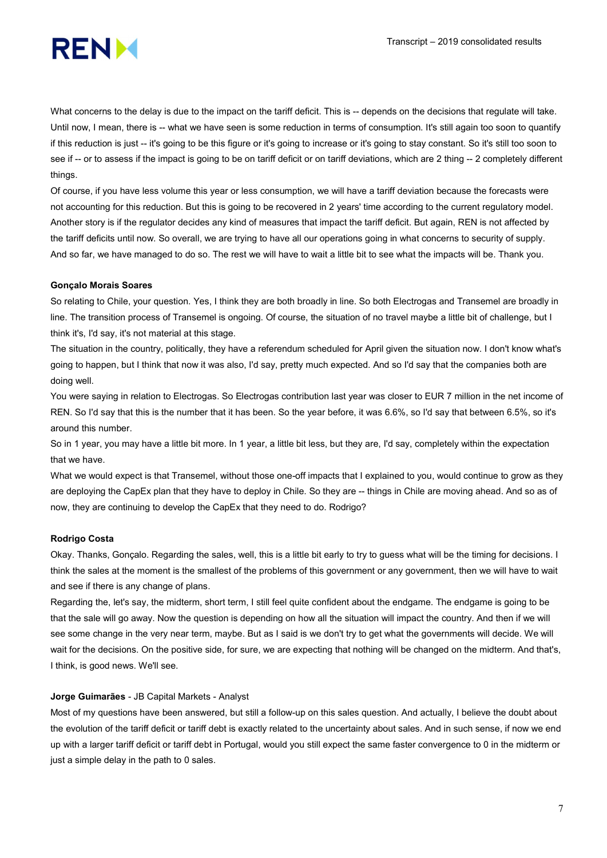

What concerns to the delay is due to the impact on the tariff deficit. This is -- depends on the decisions that regulate will take. Until now, I mean, there is -- what we have seen is some reduction in terms of consumption. It's still again too soon to quantify if this reduction is just -- it's going to be this figure or it's going to increase or it's going to stay constant. So it's still too soon to see if -- or to assess if the impact is going to be on tariff deficit or on tariff deviations, which are 2 thing -- 2 completely different things.

Of course, if you have less volume this year or less consumption, we will have a tariff deviation because the forecasts were not accounting for this reduction. But this is going to be recovered in 2 years' time according to the current regulatory model. Another story is if the regulator decides any kind of measures that impact the tariff deficit. But again, REN is not affected by the tariff deficits until now. So overall, we are trying to have all our operations going in what concerns to security of supply. And so far, we have managed to do so. The rest we will have to wait a little bit to see what the impacts will be. Thank you.

### Gonçalo Morais Soares

So relating to Chile, your question. Yes, I think they are both broadly in line. So both Electrogas and Transemel are broadly in line. The transition process of Transemel is ongoing. Of course, the situation of no travel maybe a little bit of challenge, but I think it's, I'd say, it's not material at this stage.

The situation in the country, politically, they have a referendum scheduled for April given the situation now. I don't know what's going to happen, but I think that now it was also, I'd say, pretty much expected. And so I'd say that the companies both are doing well.

You were saying in relation to Electrogas. So Electrogas contribution last year was closer to EUR 7 million in the net income of REN. So I'd say that this is the number that it has been. So the year before, it was 6.6%, so I'd say that between 6.5%, so it's around this number.

So in 1 year, you may have a little bit more. In 1 year, a little bit less, but they are, I'd say, completely within the expectation that we have.

What we would expect is that Transemel, without those one-off impacts that I explained to you, would continue to grow as they are deploying the CapEx plan that they have to deploy in Chile. So they are -- things in Chile are moving ahead. And so as of now, they are continuing to develop the CapEx that they need to do. Rodrigo?

## Rodrigo Costa

Okay. Thanks, Gonçalo. Regarding the sales, well, this is a little bit early to try to guess what will be the timing for decisions. I think the sales at the moment is the smallest of the problems of this government or any government, then we will have to wait and see if there is any change of plans.

Regarding the, let's say, the midterm, short term, I still feel quite confident about the endgame. The endgame is going to be that the sale will go away. Now the question is depending on how all the situation will impact the country. And then if we will see some change in the very near term, maybe. But as I said is we don't try to get what the governments will decide. We will wait for the decisions. On the positive side, for sure, we are expecting that nothing will be changed on the midterm. And that's, I think, is good news. We'll see.

#### Jorge Guimarães - JB Capital Markets - Analyst

Most of my questions have been answered, but still a follow-up on this sales question. And actually, I believe the doubt about the evolution of the tariff deficit or tariff debt is exactly related to the uncertainty about sales. And in such sense, if now we end up with a larger tariff deficit or tariff debt in Portugal, would you still expect the same faster convergence to 0 in the midterm or just a simple delay in the path to 0 sales.